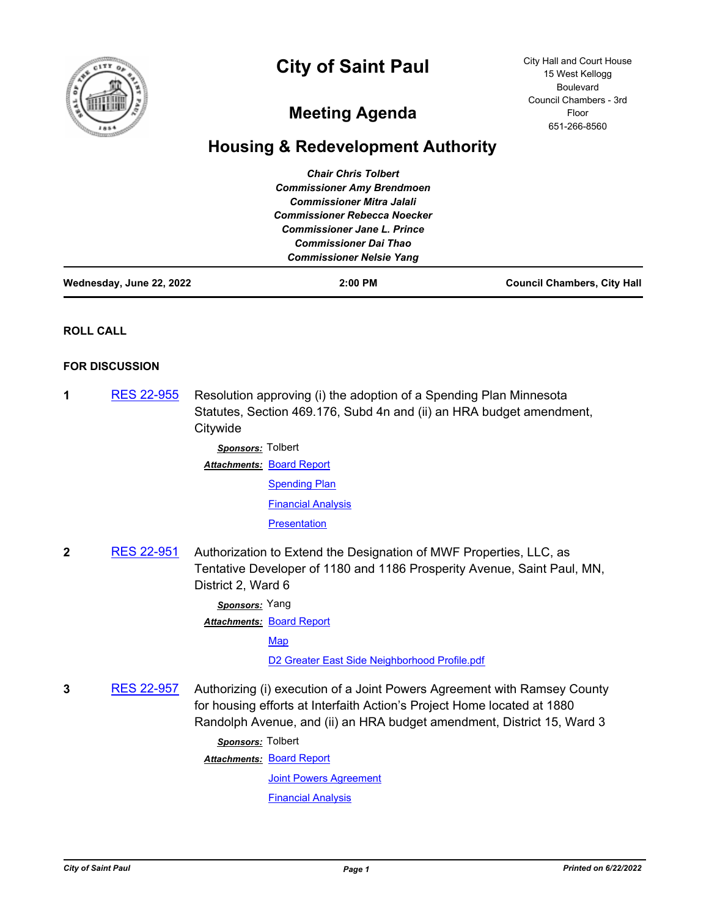

# **City of Saint Paul**

City Hall and Court House 15 West Kellogg Boulevard Council Chambers - 3rd Floor 651-266-8560

## **Meeting Agenda**

### **Housing & Redevelopment Authority**

| <b>Chair Chris Tolbert</b><br><b>Commissioner Amy Brendmoen</b><br><b>Commissioner Mitra Jalali</b><br><b>Commissioner Rebecca Noecker</b><br><b>Commissioner Jane L. Prince</b><br><b>Commissioner Dai Thao</b><br><b>Commissioner Nelsie Yang</b> |                       |                                                                                                                                                                                                                               |                                    |
|-----------------------------------------------------------------------------------------------------------------------------------------------------------------------------------------------------------------------------------------------------|-----------------------|-------------------------------------------------------------------------------------------------------------------------------------------------------------------------------------------------------------------------------|------------------------------------|
| Wednesday, June 22, 2022                                                                                                                                                                                                                            |                       | 2:00 PM                                                                                                                                                                                                                       | <b>Council Chambers, City Hall</b> |
|                                                                                                                                                                                                                                                     | <b>ROLL CALL</b>      |                                                                                                                                                                                                                               |                                    |
|                                                                                                                                                                                                                                                     | <b>FOR DISCUSSION</b> |                                                                                                                                                                                                                               |                                    |
| 1                                                                                                                                                                                                                                                   | <u>RES 22-955</u>     | Resolution approving (i) the adoption of a Spending Plan Minnesota<br>Statutes, Section 469.176, Subd 4n and (ii) an HRA budget amendment,<br>Citywide<br>Sponsors: Tolbert                                                   |                                    |
|                                                                                                                                                                                                                                                     |                       | <b>Attachments: Board Report</b>                                                                                                                                                                                              |                                    |
|                                                                                                                                                                                                                                                     |                       | <b>Spending Plan</b>                                                                                                                                                                                                          |                                    |
|                                                                                                                                                                                                                                                     |                       | <b>Financial Analysis</b>                                                                                                                                                                                                     |                                    |
|                                                                                                                                                                                                                                                     |                       | Presentation                                                                                                                                                                                                                  |                                    |
| 2                                                                                                                                                                                                                                                   | <b>RES 22-951</b>     | Authorization to Extend the Designation of MWF Properties, LLC, as<br>Tentative Developer of 1180 and 1186 Prosperity Avenue, Saint Paul, MN,<br>District 2, Ward 6                                                           |                                    |
|                                                                                                                                                                                                                                                     |                       | Sponsors: Yang                                                                                                                                                                                                                |                                    |
|                                                                                                                                                                                                                                                     |                       | <b>Attachments: Board Report</b>                                                                                                                                                                                              |                                    |
|                                                                                                                                                                                                                                                     |                       | Map                                                                                                                                                                                                                           |                                    |
|                                                                                                                                                                                                                                                     |                       | D2 Greater East Side Neighborhood Profile.pdf                                                                                                                                                                                 |                                    |
| 3                                                                                                                                                                                                                                                   | RES 22-957            | Authorizing (i) execution of a Joint Powers Agreement with Ramsey County<br>for housing efforts at Interfaith Action's Project Home located at 1880<br>Randolph Avenue, and (ii) an HRA budget amendment, District 15, Ward 3 |                                    |
|                                                                                                                                                                                                                                                     |                       | Sponsors: Tolbert                                                                                                                                                                                                             |                                    |
|                                                                                                                                                                                                                                                     |                       | <b>Attachments: Board Report</b>                                                                                                                                                                                              |                                    |
|                                                                                                                                                                                                                                                     |                       | <b>Joint Powers Agreement</b>                                                                                                                                                                                                 |                                    |

**[Financial Analysis](http://StPaul.legistar.com/gateway.aspx?M=F&ID=7f613926-5774-4283-8e08-b0b6b3c5e859.pdf)**